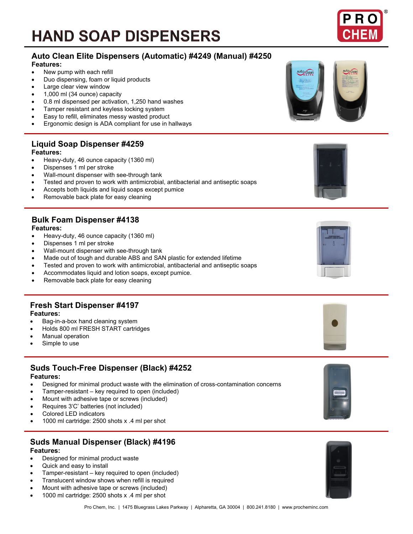# **HAND SOAP DISPENSERS**

#### **Auto Clean Elite Dispensers (Automatic) #4249 (Manual) #4250 Features:**

- New pump with each refill
- Duo dispensing, foam or liquid products
- Large clear view window
- 1,000 ml (34 ounce) capacity
- 0.8 ml dispensed per activation, 1,250 hand washes
- Tamper resistant and keyless locking system
- Easy to refill, eliminates messy wasted product
- Ergonomic design is ADA compliant for use in hallways

## **Liquid Soap Dispenser #4259**

#### **Features:**

- Heavy-duty, 46 ounce capacity (1360 ml)
- Dispenses 1 ml per stroke
- Wall-mount dispenser with see-through tank
- Tested and proven to work with antimicrobial, antibacterial and antiseptic soaps
- Accepts both liquids and liquid soaps except pumice
- Removable back plate for easy cleaning

## **Bulk Foam Dispenser #4138**

#### **Features:**

- Heavy-duty, 46 ounce capacity (1360 ml)
- Dispenses 1 ml per stroke
- Wall-mount dispenser with see-through tank
- Made out of tough and durable ABS and SAN plastic for extended lifetime
- Tested and proven to work with antimicrobial, antibacterial and antiseptic soaps
- Accommodates liquid and lotion soaps, except pumice.
- Removable back plate for easy cleaning

# **Fresh Start Dispenser #4197**

#### **Features:**

- Bag-in-a-box hand cleaning system
- Holds 800 ml FRESH START cartridges
- Manual operation
- Simple to use

#### **Suds Touch-Free Dispenser (Black) #4252 Features:**

- Designed for minimal product waste with the elimination of cross-contamination concerns
- Tamper-resistant key required to open (included)
- Mount with adhesive tape or screws (included)
- Requires 3'C' batteries (not included)
- Colored LED indicators
- 1000 ml cartridge: 2500 shots x .4 ml per shot

### **Suds Manual Dispenser (Black) #4196 Features:**

- Designed for minimal product waste
- Quick and easy to install
- Tamper-resistant key required to open (included)
- Translucent window shows when refill is required
- Mount with adhesive tape or screws (included)
- 1000 ml cartridge: 2500 shots x .4 ml per shot